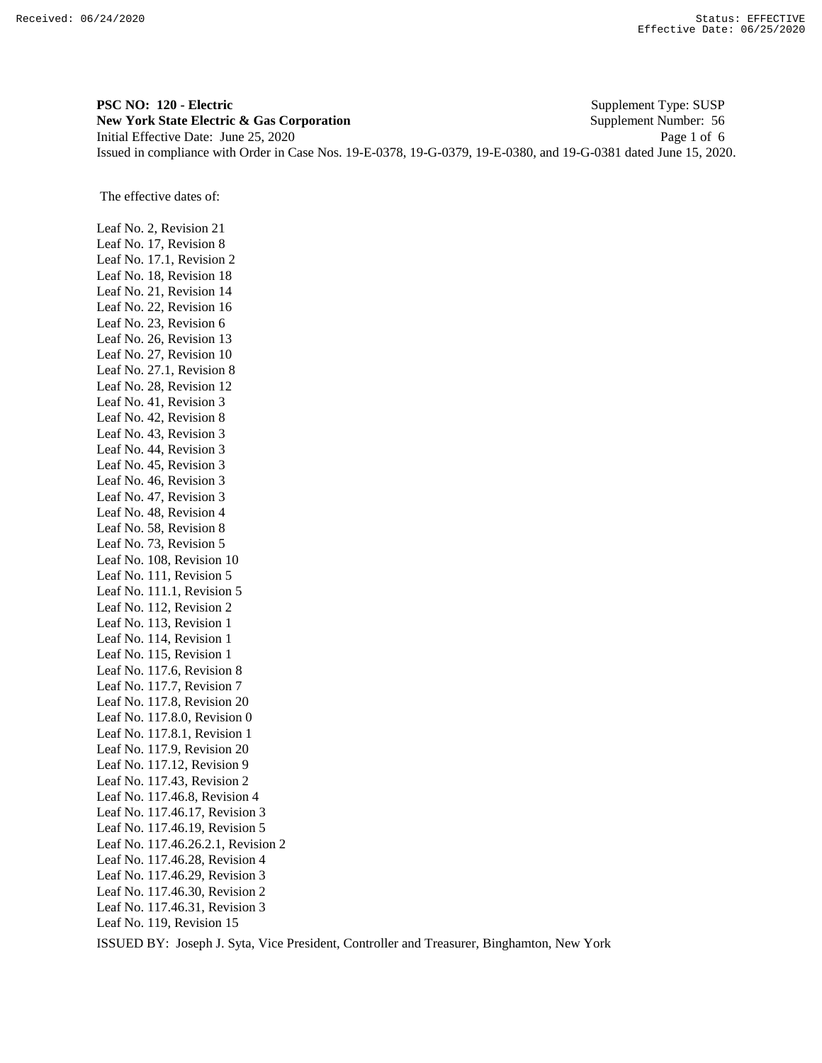**PSC NO: 120 - Electric** Supplement Type: SUSP **New York State Electric & Gas Corporation** Supplement Number: 56 Initial Effective Date: June 25, 2020 Page 1 of 6 Issued in compliance with Order in Case Nos. 19-E-0378, 19-G-0379, 19-E-0380, and 19-G-0381 dated June 15, 2020.

The effective dates of:

Leaf No. 2, Revision 21 Leaf No. 17, Revision 8 Leaf No. 17.1, Revision 2 Leaf No. 18, Revision 18 Leaf No. 21, Revision 14 Leaf No. 22, Revision 16 Leaf No. 23, Revision 6 Leaf No. 26, Revision 13 Leaf No. 27, Revision 10 Leaf No. 27.1, Revision 8 Leaf No. 28, Revision 12 Leaf No. 41, Revision 3 Leaf No. 42, Revision 8 Leaf No. 43, Revision 3 Leaf No. 44, Revision 3 Leaf No. 45, Revision 3 Leaf No. 46, Revision 3 Leaf No. 47, Revision 3 Leaf No. 48, Revision 4 Leaf No. 58, Revision 8 Leaf No. 73, Revision 5 Leaf No. 108, Revision 10 Leaf No. 111, Revision 5 Leaf No. 111.1, Revision 5 Leaf No. 112, Revision 2 Leaf No. 113, Revision 1 Leaf No. 114, Revision 1 Leaf No. 115, Revision 1 Leaf No. 117.6, Revision 8 Leaf No. 117.7, Revision 7 Leaf No. 117.8, Revision 20 Leaf No. 117.8.0, Revision 0 Leaf No. 117.8.1, Revision 1 Leaf No. 117.9, Revision 20 Leaf No. 117.12, Revision 9 Leaf No. 117.43, Revision 2 Leaf No. 117.46.8, Revision 4 Leaf No. 117.46.17, Revision 3 Leaf No. 117.46.19, Revision 5 Leaf No. 117.46.26.2.1, Revision 2 Leaf No. 117.46.28, Revision 4 Leaf No. 117.46.29, Revision 3 Leaf No. 117.46.30, Revision 2 Leaf No. 117.46.31, Revision 3 Leaf No. 119, Revision 15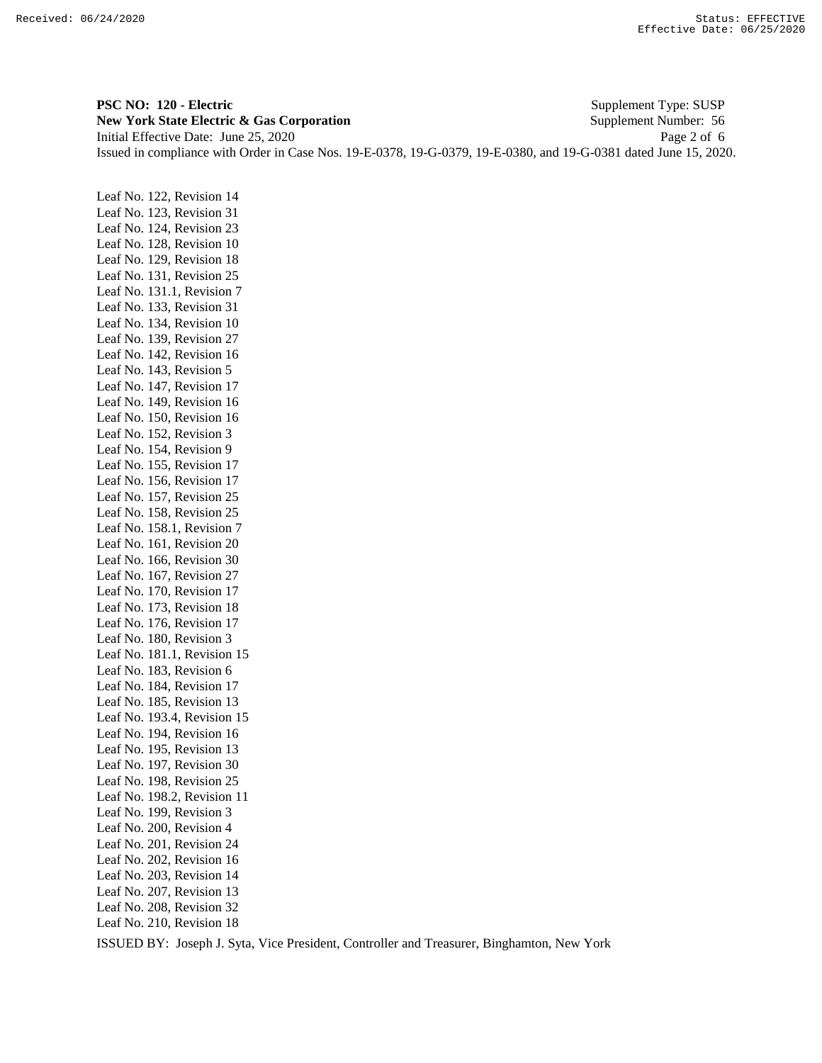**PSC NO: 120 - Electric** Supplement Type: SUSP **New York State Electric & Gas Corporation** Supplement Number: 56 Initial Effective Date: June 25, 2020 Page 2 of 6 Issued in compliance with Order in Case Nos. 19-E-0378, 19-G-0379, 19-E-0380, and 19-G-0381 dated June 15, 2020.

Leaf No. 122, Revision 14 Leaf No. 123, Revision 31 Leaf No. 124, Revision 23 Leaf No. 128, Revision 10 Leaf No. 129, Revision 18 Leaf No. 131, Revision 25 Leaf No. 131.1, Revision 7 Leaf No. 133, Revision 31 Leaf No. 134, Revision 10 Leaf No. 139, Revision 27 Leaf No. 142, Revision 16 Leaf No. 143, Revision 5 Leaf No. 147, Revision 17 Leaf No. 149, Revision 16 Leaf No. 150, Revision 16 Leaf No. 152, Revision 3 Leaf No. 154, Revision 9 Leaf No. 155, Revision 17 Leaf No. 156, Revision 17 Leaf No. 157, Revision 25 Leaf No. 158, Revision 25 Leaf No. 158.1, Revision 7 Leaf No. 161, Revision 20 Leaf No. 166, Revision 30 Leaf No. 167, Revision 27 Leaf No. 170, Revision 17 Leaf No. 173, Revision 18 Leaf No. 176, Revision 17 Leaf No. 180, Revision 3 Leaf No. 181.1, Revision 15 Leaf No. 183, Revision 6 Leaf No. 184, Revision 17 Leaf No. 185, Revision 13 Leaf No. 193.4, Revision 15 Leaf No. 194, Revision 16 Leaf No. 195, Revision 13 Leaf No. 197, Revision 30 Leaf No. 198, Revision 25 Leaf No. 198.2, Revision 11 Leaf No. 199, Revision 3 Leaf No. 200, Revision 4 Leaf No. 201, Revision 24 Leaf No. 202, Revision 16 Leaf No. 203, Revision 14 Leaf No. 207, Revision 13 Leaf No. 208, Revision 32 Leaf No. 210, Revision 18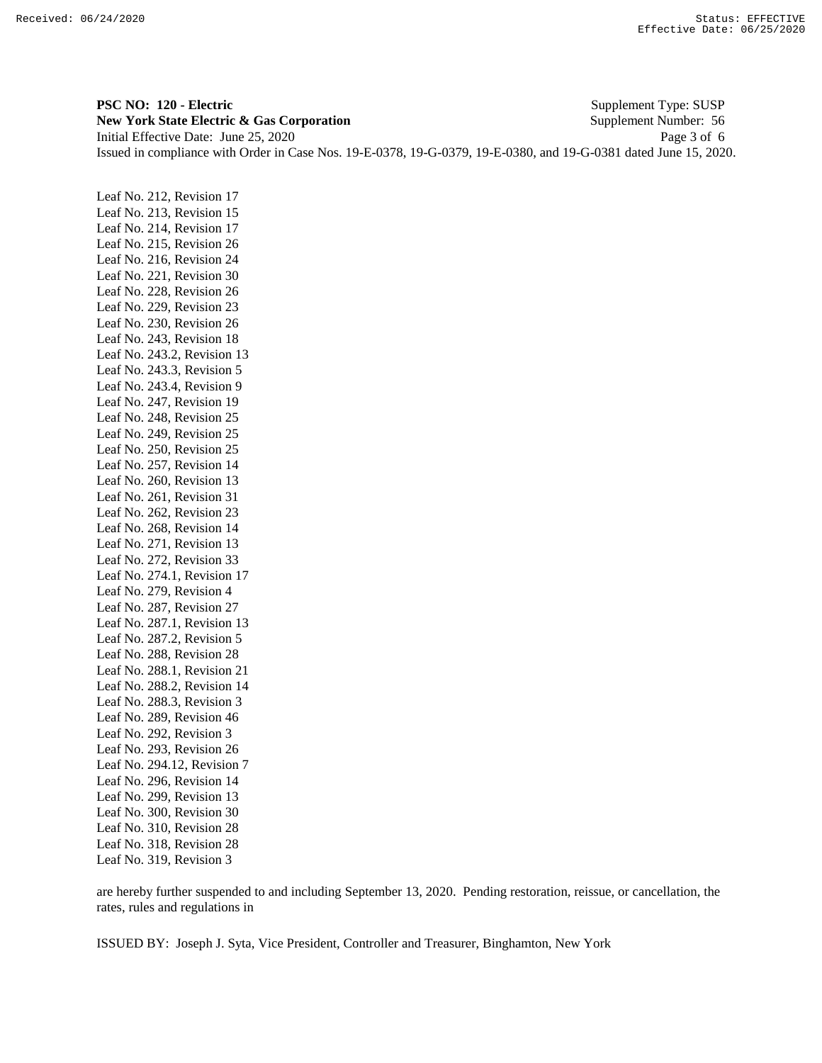**PSC NO: 120 - Electric** Supplement Type: SUSP **New York State Electric & Gas Corporation** Supplement Number: 56 Initial Effective Date: June 25, 2020 Page 3 of 6 Issued in compliance with Order in Case Nos. 19-E-0378, 19-G-0379, 19-E-0380, and 19-G-0381 dated June 15, 2020.

Leaf No. 212, Revision 17 Leaf No. 213, Revision 15 Leaf No. 214, Revision 17 Leaf No. 215, Revision 26 Leaf No. 216, Revision 24 Leaf No. 221, Revision 30 Leaf No. 228, Revision 26 Leaf No. 229, Revision 23 Leaf No. 230, Revision 26 Leaf No. 243, Revision 18 Leaf No. 243.2, Revision 13 Leaf No. 243.3, Revision 5 Leaf No. 243.4, Revision 9 Leaf No. 247, Revision 19 Leaf No. 248, Revision 25 Leaf No. 249, Revision 25 Leaf No. 250, Revision 25 Leaf No. 257, Revision 14 Leaf No. 260, Revision 13 Leaf No. 261, Revision 31 Leaf No. 262, Revision 23 Leaf No. 268, Revision 14 Leaf No. 271, Revision 13 Leaf No. 272, Revision 33 Leaf No. 274.1, Revision 17 Leaf No. 279, Revision 4 Leaf No. 287, Revision 27 Leaf No. 287.1, Revision 13 Leaf No. 287.2, Revision 5 Leaf No. 288, Revision 28 Leaf No. 288.1, Revision 21 Leaf No. 288.2, Revision 14 Leaf No. 288.3, Revision 3 Leaf No. 289, Revision 46 Leaf No. 292, Revision 3 Leaf No. 293, Revision 26 Leaf No. 294.12, Revision 7 Leaf No. 296, Revision 14 Leaf No. 299, Revision 13 Leaf No. 300, Revision 30 Leaf No. 310, Revision 28 Leaf No. 318, Revision 28 Leaf No. 319, Revision 3

are hereby further suspended to and including September 13, 2020. Pending restoration, reissue, or cancellation, the rates, rules and regulations in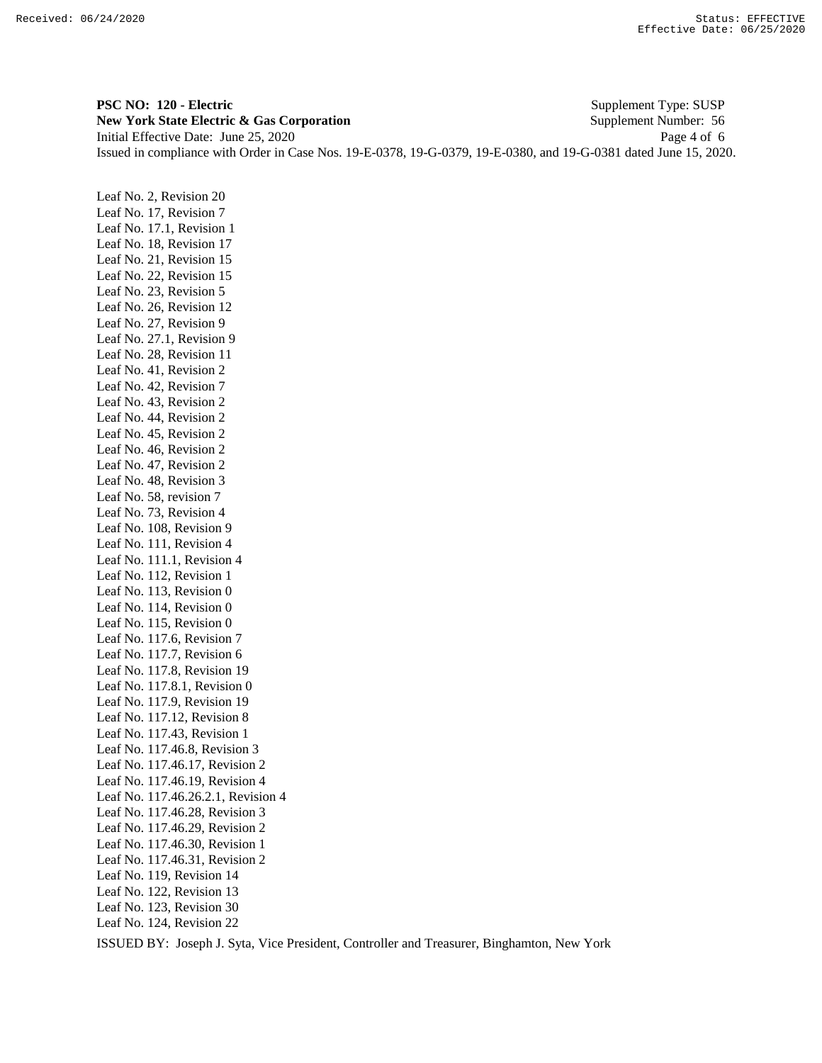**PSC NO: 120 - Electric** Supplement Type: SUSP **New York State Electric & Gas Corporation** Supplement Number: 56 Initial Effective Date: June 25, 2020 Page 4 of 6 Issued in compliance with Order in Case Nos. 19-E-0378, 19-G-0379, 19-E-0380, and 19-G-0381 dated June 15, 2020.

Leaf No. 2, Revision 20 Leaf No. 17, Revision 7 Leaf No. 17.1, Revision 1 Leaf No. 18, Revision 17 Leaf No. 21, Revision 15 Leaf No. 22, Revision 15 Leaf No. 23, Revision 5 Leaf No. 26, Revision 12 Leaf No. 27, Revision 9 Leaf No. 27.1, Revision 9 Leaf No. 28, Revision 11 Leaf No. 41, Revision 2 Leaf No. 42, Revision 7 Leaf No. 43, Revision 2 Leaf No. 44, Revision 2 Leaf No. 45, Revision 2 Leaf No. 46, Revision 2 Leaf No. 47, Revision 2 Leaf No. 48, Revision 3 Leaf No. 58, revision 7 Leaf No. 73, Revision 4 Leaf No. 108, Revision 9 Leaf No. 111, Revision 4 Leaf No. 111.1, Revision 4 Leaf No. 112, Revision 1 Leaf No. 113, Revision 0 Leaf No. 114, Revision 0 Leaf No. 115, Revision 0 Leaf No. 117.6, Revision 7 Leaf No. 117.7, Revision 6 Leaf No. 117.8, Revision 19 Leaf No. 117.8.1, Revision 0 Leaf No. 117.9, Revision 19 Leaf No. 117.12, Revision 8 Leaf No. 117.43, Revision 1 Leaf No. 117.46.8, Revision 3 Leaf No. 117.46.17, Revision 2 Leaf No. 117.46.19, Revision 4 Leaf No. 117.46.26.2.1, Revision 4 Leaf No. 117.46.28, Revision 3 Leaf No. 117.46.29, Revision 2 Leaf No. 117.46.30, Revision 1 Leaf No. 117.46.31, Revision 2 Leaf No. 119, Revision 14 Leaf No. 122, Revision 13 Leaf No. 123, Revision 30 Leaf No. 124, Revision 22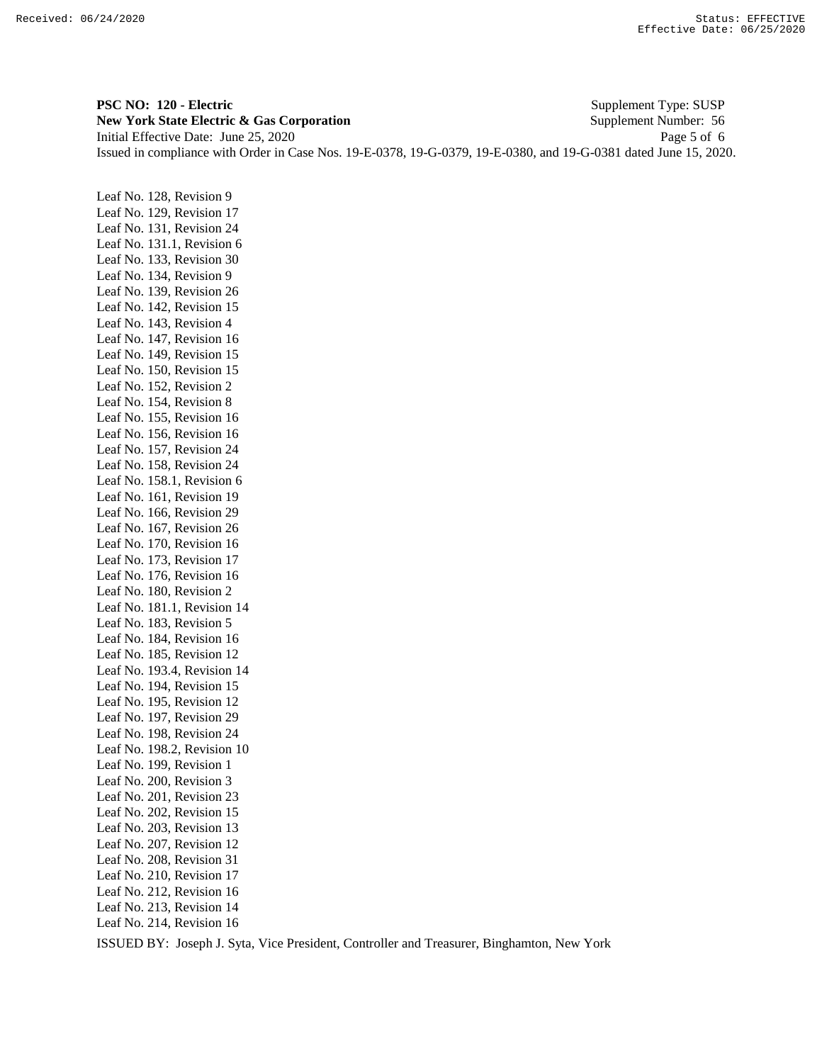**PSC NO: 120 - Electric** Supplement Type: SUSP **New York State Electric & Gas Corporation** Supplement Number: 56 Initial Effective Date: June 25, 2020 Page 5 of 6 Issued in compliance with Order in Case Nos. 19-E-0378, 19-G-0379, 19-E-0380, and 19-G-0381 dated June 15, 2020.

Leaf No. 128, Revision 9 Leaf No. 129, Revision 17 Leaf No. 131, Revision 24 Leaf No. 131.1, Revision 6 Leaf No. 133, Revision 30 Leaf No. 134, Revision 9 Leaf No. 139, Revision 26 Leaf No. 142, Revision 15 Leaf No. 143, Revision 4 Leaf No. 147, Revision 16 Leaf No. 149, Revision 15 Leaf No. 150, Revision 15 Leaf No. 152, Revision 2 Leaf No. 154, Revision 8 Leaf No. 155, Revision 16 Leaf No. 156, Revision 16 Leaf No. 157, Revision 24 Leaf No. 158, Revision 24 Leaf No. 158.1, Revision 6 Leaf No. 161, Revision 19 Leaf No. 166, Revision 29 Leaf No. 167, Revision 26 Leaf No. 170, Revision 16 Leaf No. 173, Revision 17 Leaf No. 176, Revision 16 Leaf No. 180, Revision 2 Leaf No. 181.1, Revision 14 Leaf No. 183, Revision 5 Leaf No. 184, Revision 16 Leaf No. 185, Revision 12 Leaf No. 193.4, Revision 14 Leaf No. 194, Revision 15 Leaf No. 195, Revision 12 Leaf No. 197, Revision 29 Leaf No. 198, Revision 24 Leaf No. 198.2, Revision 10 Leaf No. 199, Revision 1 Leaf No. 200, Revision 3 Leaf No. 201, Revision 23 Leaf No. 202, Revision 15 Leaf No. 203, Revision 13 Leaf No. 207, Revision 12 Leaf No. 208, Revision 31 Leaf No. 210, Revision 17 Leaf No. 212, Revision 16 Leaf No. 213, Revision 14 Leaf No. 214, Revision 16